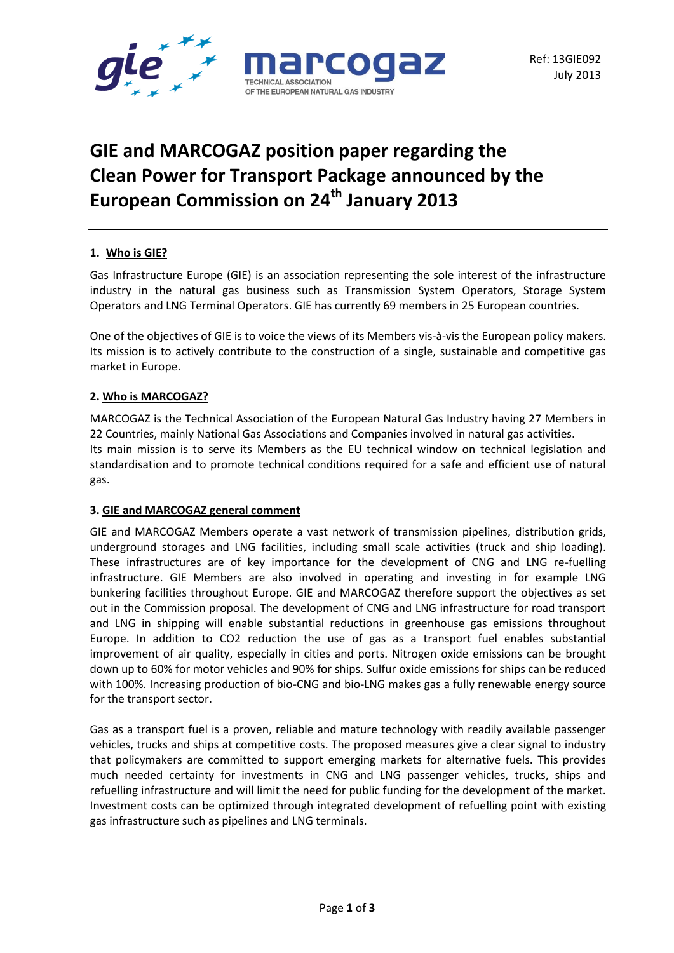

# **GIE and MARCOGAZ position paper regarding the Clean Power for Transport Package announced by the European Commission on 24th January 2013**

# **1. Who is GIE?**

Gas Infrastructure Europe (GIE) is an association representing the sole interest of the infrastructure industry in the natural gas business such as Transmission System Operators, Storage System Operators and LNG Terminal Operators. GIE has currently 69 members in 25 European countries.

One of the objectives of GIE is to voice the views of its Members vis-à-vis the European policy makers. Its mission is to actively contribute to the construction of a single, sustainable and competitive gas market in Europe.

# **2. Who is MARCOGAZ?**

MARCOGAZ is the Technical Association of the European Natural Gas Industry having 27 Members in 22 Countries, mainly National Gas Associations and Companies involved in natural gas activities. Its main mission is to serve its Members as the EU technical window on technical legislation and standardisation and to promote technical conditions required for a safe and efficient use of natural gas.

#### **3. GIE and MARCOGAZ general comment**

GIE and MARCOGAZ Members operate a vast network of transmission pipelines, distribution grids, underground storages and LNG facilities, including small scale activities (truck and ship loading). These infrastructures are of key importance for the development of CNG and LNG re-fuelling infrastructure. GIE Members are also involved in operating and investing in for example LNG bunkering facilities throughout Europe. GIE and MARCOGAZ therefore support the objectives as set out in the Commission proposal. The development of CNG and LNG infrastructure for road transport and LNG in shipping will enable substantial reductions in greenhouse gas emissions throughout Europe. In addition to CO2 reduction the use of gas as a transport fuel enables substantial improvement of air quality, especially in cities and ports. Nitrogen oxide emissions can be brought down up to 60% for motor vehicles and 90% for ships. Sulfur oxide emissions for ships can be reduced with 100%. Increasing production of bio-CNG and bio-LNG makes gas a fully renewable energy source for the transport sector.

Gas as a transport fuel is a proven, reliable and mature technology with readily available passenger vehicles, trucks and ships at competitive costs. The proposed measures give a clear signal to industry that policymakers are committed to support emerging markets for alternative fuels. This provides much needed certainty for investments in CNG and LNG passenger vehicles, trucks, ships and refuelling infrastructure and will limit the need for public funding for the development of the market. Investment costs can be optimized through integrated development of refuelling point with existing gas infrastructure such as pipelines and LNG terminals.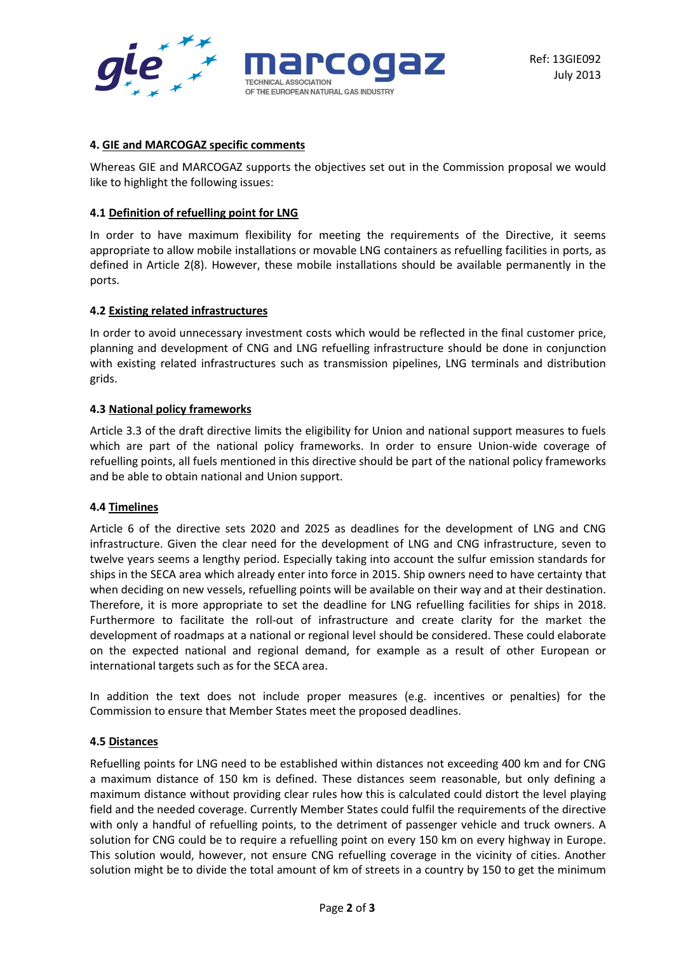



## **4. GIE and MARCOGAZ specific comments**

Whereas GIE and MARCOGAZ supports the objectives set out in the Commission proposal we would like to highlight the following issues:

## **4.1 Definition of refuelling point for LNG**

In order to have maximum flexibility for meeting the requirements of the Directive, it seems appropriate to allow mobile installations or movable LNG containers as refuelling facilities in ports, as defined in Article 2(8). However, these mobile installations should be available permanently in the ports.

#### **4.2 Existing related infrastructures**

In order to avoid unnecessary investment costs which would be reflected in the final customer price, planning and development of CNG and LNG refuelling infrastructure should be done in conjunction with existing related infrastructures such as transmission pipelines, LNG terminals and distribution grids.

#### **4.3 National policy frameworks**

Article 3.3 of the draft directive limits the eligibility for Union and national support measures to fuels which are part of the national policy frameworks. In order to ensure Union-wide coverage of refuelling points, all fuels mentioned in this directive should be part of the national policy frameworks and be able to obtain national and Union support.

#### **4.4 Timelines**

Article 6 of the directive sets 2020 and 2025 as deadlines for the development of LNG and CNG infrastructure. Given the clear need for the development of LNG and CNG infrastructure, seven to twelve years seems a lengthy period. Especially taking into account the sulfur emission standards for ships in the SECA area which already enter into force in 2015. Ship owners need to have certainty that when deciding on new vessels, refuelling points will be available on their way and at their destination. Therefore, it is more appropriate to set the deadline for LNG refuelling facilities for ships in 2018. Furthermore to facilitate the roll-out of infrastructure and create clarity for the market the development of roadmaps at a national or regional level should be considered. These could elaborate on the expected national and regional demand, for example as a result of other European or international targets such as for the SECA area.

In addition the text does not include proper measures (e.g. incentives or penalties) for the Commission to ensure that Member States meet the proposed deadlines.

#### **4.5 Distances**

Refuelling points for LNG need to be established within distances not exceeding 400 km and for CNG a maximum distance of 150 km is defined. These distances seem reasonable, but only defining a maximum distance without providing clear rules how this is calculated could distort the level playing field and the needed coverage. Currently Member States could fulfil the requirements of the directive with only a handful of refuelling points, to the detriment of passenger vehicle and truck owners. A solution for CNG could be to require a refuelling point on every 150 km on every highway in Europe. This solution would, however, not ensure CNG refuelling coverage in the vicinity of cities. Another solution might be to divide the total amount of km of streets in a country by 150 to get the minimum